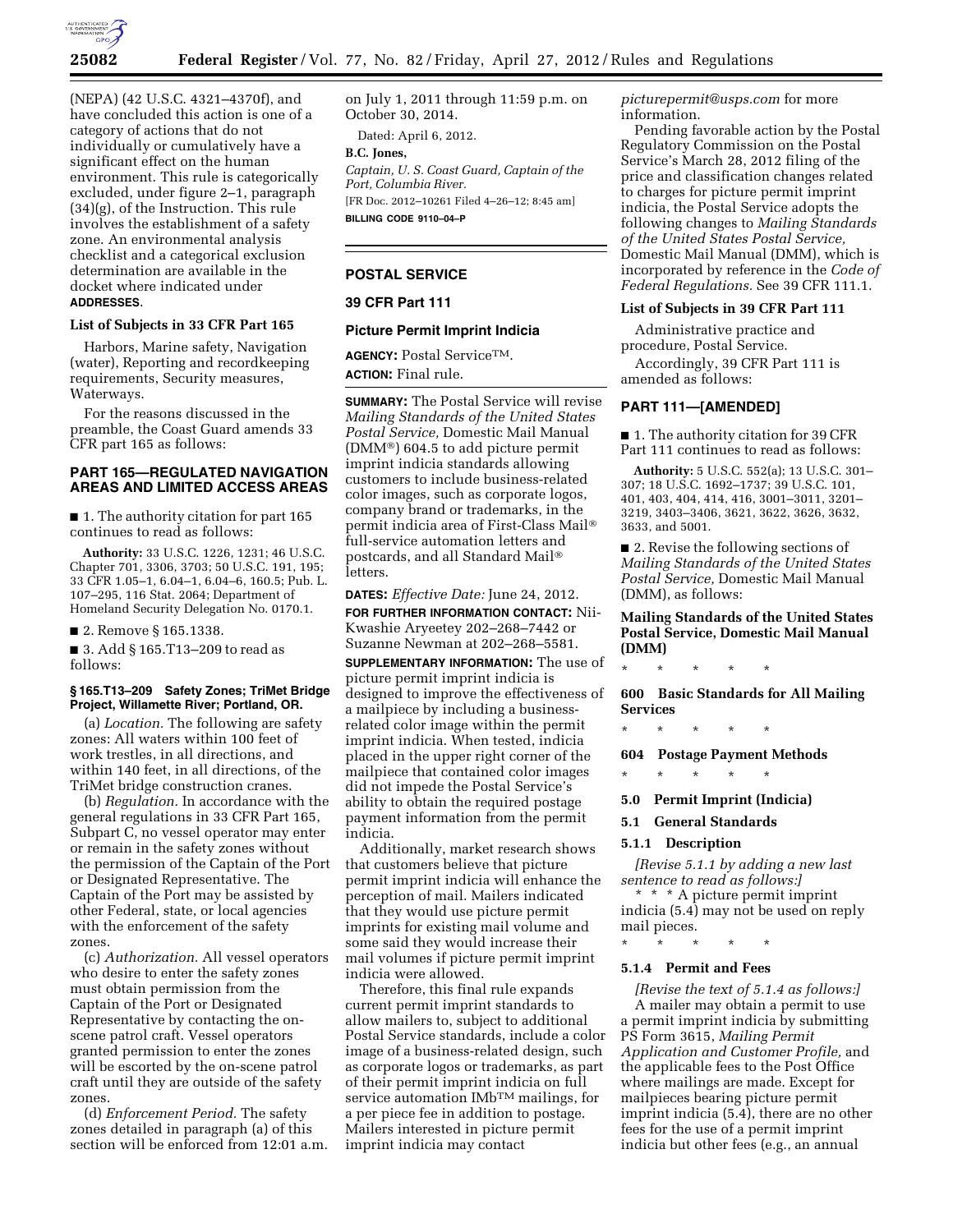

(NEPA) (42 U.S.C. 4321–4370f), and have concluded this action is one of a category of actions that do not individually or cumulatively have a significant effect on the human environment. This rule is categorically excluded, under figure 2–1, paragraph (34)(g), of the Instruction. This rule involves the establishment of a safety zone. An environmental analysis checklist and a categorical exclusion determination are available in the docket where indicated under **ADDRESSES**.

# **List of Subjects in 33 CFR Part 165**

Harbors, Marine safety, Navigation (water), Reporting and recordkeeping requirements, Security measures, Waterways.

For the reasons discussed in the preamble, the Coast Guard amends 33 CFR part 165 as follows:

# **PART 165—REGULATED NAVIGATION AREAS AND LIMITED ACCESS AREAS**

■ 1. The authority citation for part 165 continues to read as follows:

**Authority:** 33 U.S.C. 1226, 1231; 46 U.S.C. Chapter 701, 3306, 3703; 50 U.S.C. 191, 195; 33 CFR 1.05–1, 6.04–1, 6.04–6, 160.5; Pub. L. 107–295, 116 Stat. 2064; Department of Homeland Security Delegation No. 0170.1.

■ 2. Remove § 165.1338.

■ 3. Add § 165.T13-209 to read as follows:

## **§ 165.T13–209 Safety Zones; TriMet Bridge Project, Willamette River; Portland, OR.**

(a) *Location.* The following are safety zones: All waters within 100 feet of work trestles, in all directions, and within 140 feet, in all directions, of the TriMet bridge construction cranes.

(b) *Regulation.* In accordance with the general regulations in 33 CFR Part 165, Subpart C, no vessel operator may enter or remain in the safety zones without the permission of the Captain of the Port or Designated Representative. The Captain of the Port may be assisted by other Federal, state, or local agencies with the enforcement of the safety zones.

(c) *Authorization.* All vessel operators who desire to enter the safety zones must obtain permission from the Captain of the Port or Designated Representative by contacting the onscene patrol craft. Vessel operators granted permission to enter the zones will be escorted by the on-scene patrol craft until they are outside of the safety zones.

(d) *Enforcement Period.* The safety zones detailed in paragraph (a) of this section will be enforced from 12:01 a.m. on July 1, 2011 through 11:59 p.m. on October 30, 2014.

Dated: April 6, 2012.

**B.C. Jones,**  *Captain, U. S. Coast Guard, Captain of the Port, Columbia River.*  [FR Doc. 2012–10261 Filed 4–26–12; 8:45 am] **BILLING CODE 9110–04–P** 

# **POSTAL SERVICE**

### **39 CFR Part 111**

### **Picture Permit Imprint Indicia**

**AGENCY:** Postal ServiceTM. **ACTION:** Final rule.

**SUMMARY:** The Postal Service will revise *Mailing Standards of the United States Postal Service,* Domestic Mail Manual (DMM®) 604.5 to add picture permit imprint indicia standards allowing customers to include business-related color images, such as corporate logos, company brand or trademarks, in the permit indicia area of First-Class Mail® full-service automation letters and postcards, and all Standard Mail® letters.

**DATES:** *Effective Date:* June 24, 2012.

**FOR FURTHER INFORMATION CONTACT:** Nii-Kwashie Aryeetey 202–268–7442 or Suzanne Newman at 202–268–5581.

**SUPPLEMENTARY INFORMATION:** The use of picture permit imprint indicia is designed to improve the effectiveness of a mailpiece by including a businessrelated color image within the permit imprint indicia. When tested, indicia placed in the upper right corner of the mailpiece that contained color images did not impede the Postal Service's ability to obtain the required postage payment information from the permit indicia.

Additionally, market research shows that customers believe that picture permit imprint indicia will enhance the perception of mail. Mailers indicated that they would use picture permit imprints for existing mail volume and some said they would increase their mail volumes if picture permit imprint indicia were allowed.

Therefore, this final rule expands current permit imprint standards to allow mailers to, subject to additional Postal Service standards, include a color image of a business-related design, such as corporate logos or trademarks, as part of their permit imprint indicia on full service automation IMbTM mailings, for a per piece fee in addition to postage. Mailers interested in picture permit imprint indicia may contact

*[picturepermit@usps.com](mailto:picturepermit@usps.com)* for more information.

Pending favorable action by the Postal Regulatory Commission on the Postal Service's March 28, 2012 filing of the price and classification changes related to charges for picture permit imprint indicia, the Postal Service adopts the following changes to *Mailing Standards of the United States Postal Service,*  Domestic Mail Manual (DMM), which is incorporated by reference in the *Code of Federal Regulations.* See 39 CFR 111.1.

### **List of Subjects in 39 CFR Part 111**

Administrative practice and procedure, Postal Service.

Accordingly, 39 CFR Part 111 is amended as follows:

## **PART 111—[AMENDED]**

■ 1. The authority citation for 39 CFR Part 111 continues to read as follows:

**Authority:** 5 U.S.C. 552(a); 13 U.S.C. 301– 307; 18 U.S.C. 1692–1737; 39 U.S.C. 101, 401, 403, 404, 414, 416, 3001–3011, 3201– 3219, 3403–3406, 3621, 3622, 3626, 3632, 3633, and 5001.

■ 2. Revise the following sections of *Mailing Standards of the United States Postal Service,* Domestic Mail Manual (DMM), as follows:

**Mailing Standards of the United States Postal Service, Domestic Mail Manual (DMM)** 

\* \* \* \* \*

**600 Basic Standards for All Mailing Services** 

\* \* \* \* \*

**604 Postage Payment Methods** 

\* \* \* \* \*

- **5.0 Permit Imprint (Indicia)**
- **5.1 General Standards**

## **5.1.1 Description**

*[Revise 5.1.1 by adding a new last sentence to read as follows:]* 

\* \* \* A picture permit imprint indicia (5.4) may not be used on reply mail pieces.

# \* \* \* \* \*

# **5.1.4 Permit and Fees**

*[Revise the text of 5.1.4 as follows:]*  A mailer may obtain a permit to use a permit imprint indicia by submitting PS Form 3615, *Mailing Permit Application and Customer Profile,* and the applicable fees to the Post Office where mailings are made. Except for mailpieces bearing picture permit imprint indicia (5.4), there are no other fees for the use of a permit imprint indicia but other fees (e.g., an annual